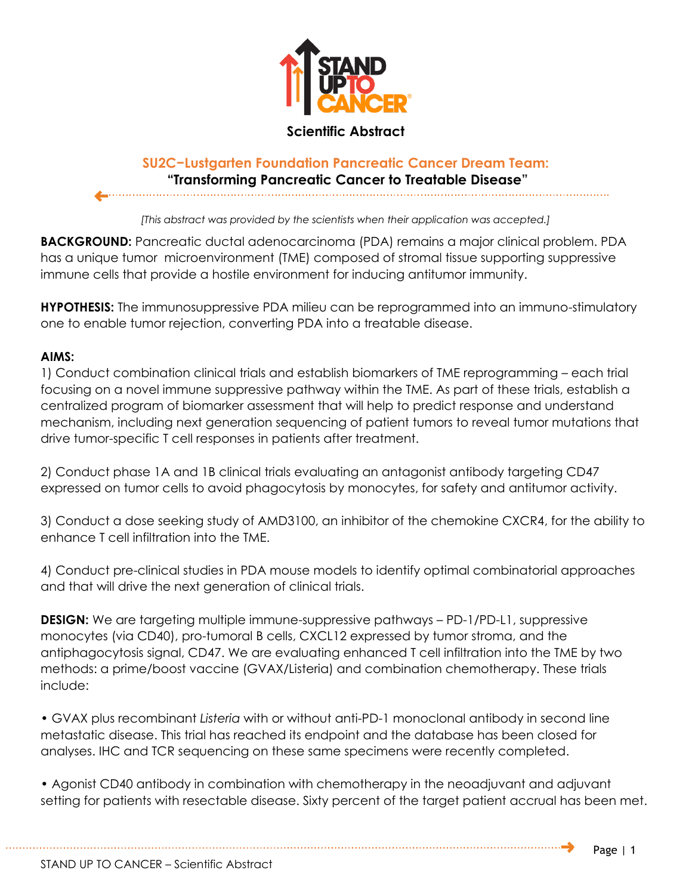

## **Scientific Abstract**

## **SU2C−Lustgarten Foundation Pancreatic Cancer Dream Team: "Transforming Pancreatic Cancer to Treatable Disease"**

*[This abstract was provided by the scientists when their application was accepted.]*

**BACKGROUND:** Pancreatic ductal adenocarcinoma (PDA) remains a major clinical problem. PDA has a unique tumor microenvironment (TME) composed of stromal tissue supporting suppressive immune cells that provide a hostile environment for inducing antitumor immunity.

**HYPOTHESIS:** The immunosuppressive PDA milieu can be reprogrammed into an immuno-stimulatory one to enable tumor rejection, converting PDA into a treatable disease.

## **AIMS:**

1) Conduct combination clinical trials and establish biomarkers of TME reprogramming – each trial focusing on a novel immune suppressive pathway within the TME. As part of these trials, establish a centralized program of biomarker assessment that will help to predict response and understand mechanism, including next generation sequencing of patient tumors to reveal tumor mutations that drive tumor-specific T cell responses in patients after treatment.

2) Conduct phase 1A and 1B clinical trials evaluating an antagonist antibody targeting CD47 expressed on tumor cells to avoid phagocytosis by monocytes, for safety and antitumor activity.

3) Conduct a dose seeking study of AMD3100, an inhibitor of the chemokine CXCR4, for the ability to enhance T cell infiltration into the TME.

4) Conduct pre-clinical studies in PDA mouse models to identify optimal combinatorial approaches and that will drive the next generation of clinical trials.

**DESIGN:** We are targeting multiple immune-suppressive pathways – PD-1/PD-L1, suppressive monocytes (via CD40), pro-tumoral B cells, CXCL12 expressed by tumor stroma, and the antiphagocytosis signal, CD47. We are evaluating enhanced T cell infiltration into the TME by two methods: a prime/boost vaccine (GVAX/Listeria) and combination chemotherapy. These trials include:

• GVAX plus recombinant *Listeria* with or without anti-PD-1 monoclonal antibody in second line metastatic disease. This trial has reached its endpoint and the database has been closed for analyses. IHC and TCR sequencing on these same specimens were recently completed.

• Agonist CD40 antibody in combination with chemotherapy in the neoadjuvant and adjuvant setting for patients with resectable disease. Sixty percent of the target patient accrual has been met.